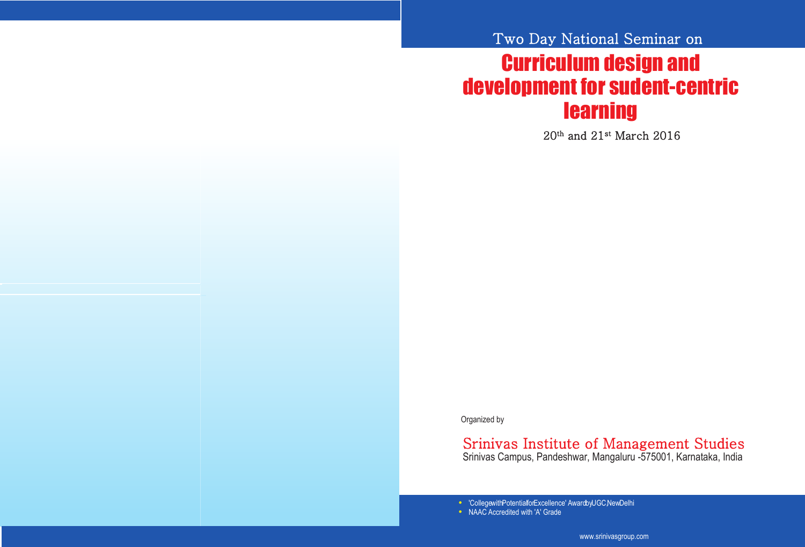### Registration fees(Non Residential):

Academicians, Research Scholars and Corporate Delegates Rs. 1,500.00 (Including fees for publication)

#### Organizing Team:

Sri. CA. A. Raghavendra Rao President A.Shama Rao Foundation Mangaluru Chief Patron Patron Patron

Principal

Dr. P. S. Aithal

Dr. A. Srinivas Rao Vice President A.Shama Rao Foundation Mangaluru

A.Shama Rao Foundation Conference Convener

**Dr**. **Suresh Kumar P. M.**

## Organizing Committee:

Prof. R. K. Acharya, Professor Prof. Ramesh Pai, Associate Professor Prof. Varun Shenoy, Assistant Professor Prof. Nidheesha H., Assistant Professor Prof. Shailashree V. T., Associate Professor Prof. Subrahmanya Kumar N., Asst. Professor Prof. Anumesh Kariappa, Assistant Professor

Smt. Mitra S. Rao **Secretary** 

Mangaluru

All communications may be addressed to Prof. Amith Menezes Conference Convener, Srinivas Institute of Management Studies, Srinivas Campus, Pandeshwar, Mangaluru – 575 001 Dakshina Kannada, Karnataka, India Ph. 0824 2422851, 2441022 | Mobile: 9845712022 Email: mailmanegma@gmail.com www.srinivasgroup.com

# Two Day National Seminar on

# Curriculum Design and Development for Sudent-Centric **Learning**

20th and 21st March 2016



#### Organized by

# Srinivas Institute of Management Studies

Srinivas Campus, Pandeshwar, Mangaluru -575001, Karnataka, India

'College with Potential for Excellence' Award by UGC, NewDelhi NAAC Accredited with 'A' Grade